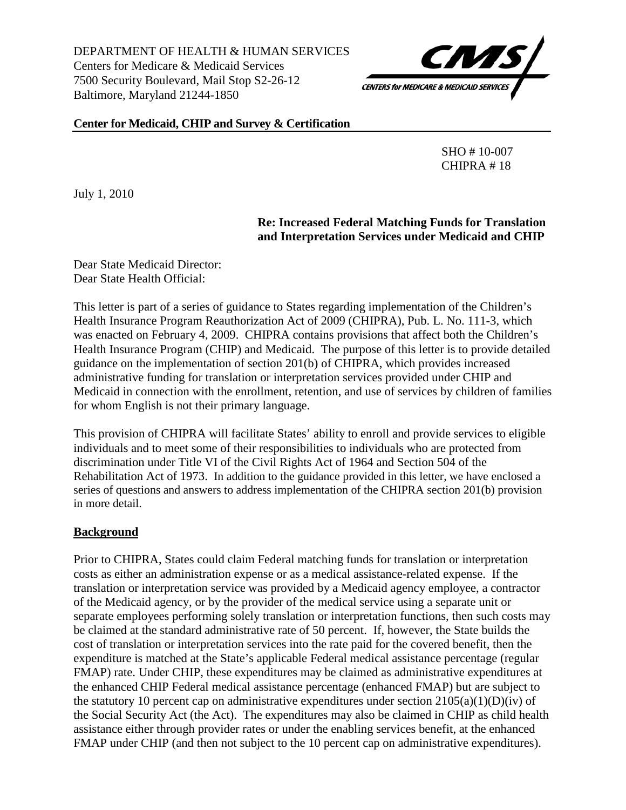DEPARTMENT OF HEALTH & HUMAN SERVICES Centers for Medicare & Medicaid Services 7500 Security Boulevard, Mail Stop S2-26-12 Baltimore, Maryland 21244-1850



#### **Center for Medicaid, CHIP and Survey & Certification**

 SHO # 10-007 CHIPRA # 18

July 1, 2010

### **Re: Increased Federal Matching Funds for Translation and Interpretation Services under Medicaid and CHIP**

Dear State Medicaid Director: Dear State Health Official:

This letter is part of a series of guidance to States regarding implementation of the Children's Health Insurance Program Reauthorization Act of 2009 (CHIPRA), Pub. L. No. 111-3, which was enacted on February 4, 2009. CHIPRA contains provisions that affect both the Children's Health Insurance Program (CHIP) and Medicaid. The purpose of this letter is to provide detailed guidance on the implementation of section 201(b) of CHIPRA, which provides increased administrative funding for translation or interpretation services provided under CHIP and Medicaid in connection with the enrollment, retention, and use of services by children of families for whom English is not their primary language.

This provision of CHIPRA will facilitate States' ability to enroll and provide services to eligible individuals and to meet some of their responsibilities to individuals who are protected from discrimination under Title VI of the Civil Rights Act of 1964 and Section 504 of the Rehabilitation Act of 1973. In addition to the guidance provided in this letter, we have enclosed a series of questions and answers to address implementation of the CHIPRA section 201(b) provision in more detail.

#### **Background**

Prior to CHIPRA, States could claim Federal matching funds for translation or interpretation costs as either an administration expense or as a medical assistance-related expense. If the translation or interpretation service was provided by a Medicaid agency employee, a contractor of the Medicaid agency, or by the provider of the medical service using a separate unit or separate employees performing solely translation or interpretation functions, then such costs may be claimed at the standard administrative rate of 50 percent. If, however, the State builds the cost of translation or interpretation services into the rate paid for the covered benefit, then the expenditure is matched at the State's applicable Federal medical assistance percentage (regular FMAP) rate. Under CHIP, these expenditures may be claimed as administrative expenditures at the enhanced CHIP Federal medical assistance percentage (enhanced FMAP) but are subject to the statutory 10 percent cap on administrative expenditures under section  $2105(a)(1)(D)(iv)$  of the Social Security Act (the Act). The expenditures may also be claimed in CHIP as child health assistance either through provider rates or under the enabling services benefit, at the enhanced FMAP under CHIP (and then not subject to the 10 percent cap on administrative expenditures).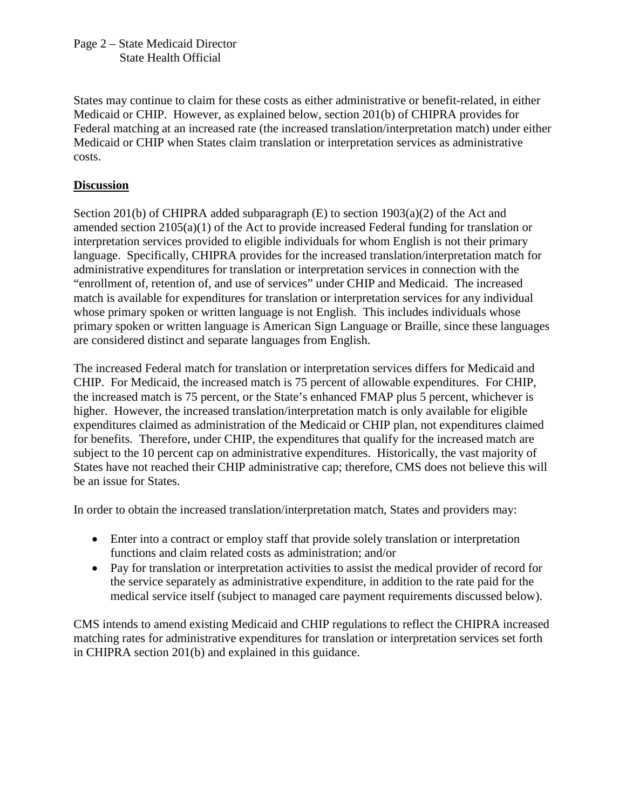Page 2 – State Medicaid Director State Health Official

States may continue to claim for these costs as either administrative or benefit-related, in either Medicaid or CHIP. However, as explained below, section 201(b) of CHIPRA provides for Federal matching at an increased rate (the increased translation/interpretation match) under either Medicaid or CHIP when States claim translation or interpretation services as administrative costs.

# **Discussion**

Section 201(b) of CHIPRA added subparagraph (E) to section 1903(a)(2) of the Act and amended section 2105(a)(1) of the Act to provide increased Federal funding for translation or interpretation services provided to eligible individuals for whom English is not their primary language. Specifically, CHIPRA provides for the increased translation/interpretation match for administrative expenditures for translation or interpretation services in connection with the "enrollment of, retention of, and use of services" under CHIP and Medicaid. The increased match is available for expenditures for translation or interpretation services for any individual whose primary spoken or written language is not English. This includes individuals whose primary spoken or written language is American Sign Language or Braille, since these languages are considered distinct and separate languages from English.

The increased Federal match for translation or interpretation services differs for Medicaid and CHIP. For Medicaid, the increased match is 75 percent of allowable expenditures. For CHIP, the increased match is 75 percent, or the State's enhanced FMAP plus 5 percent, whichever is higher. However, the increased translation/interpretation match is only available for eligible expenditures claimed as administration of the Medicaid or CHIP plan, not expenditures claimed for benefits. Therefore, under CHIP, the expenditures that qualify for the increased match are subject to the 10 percent cap on administrative expenditures. Historically, the vast majority of States have not reached their CHIP administrative cap; therefore, CMS does not believe this will be an issue for States.

In order to obtain the increased translation/interpretation match, States and providers may:

- Enter into a contract or employ staff that provide solely translation or interpretation functions and claim related costs as administration; and/or
- Pay for translation or interpretation activities to assist the medical provider of record for the service separately as administrative expenditure, in addition to the rate paid for the medical service itself (subject to managed care payment requirements discussed below).

CMS intends to amend existing Medicaid and CHIP regulations to reflect the CHIPRA increased matching rates for administrative expenditures for translation or interpretation services set forth in CHIPRA section 201(b) and explained in this guidance.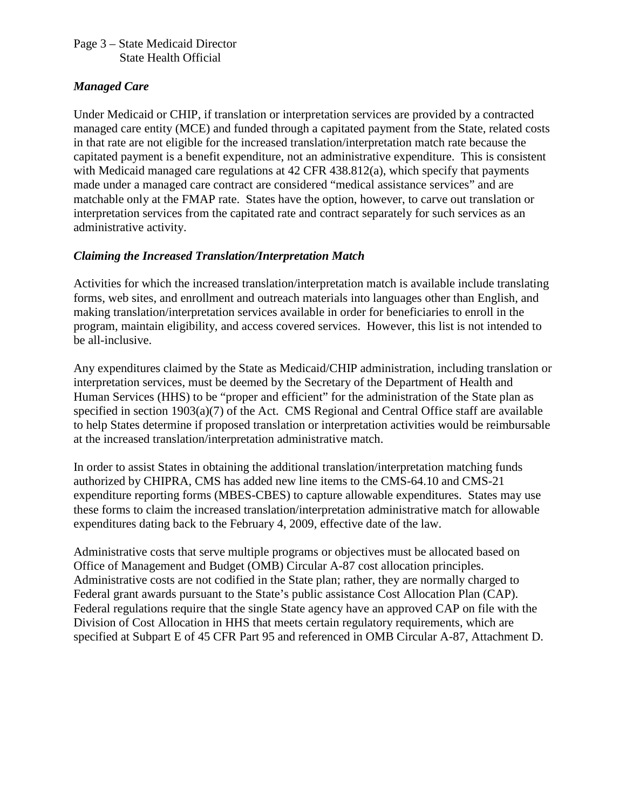#### Page 3 – State Medicaid Director State Health Official

### *Managed Care*

Under Medicaid or CHIP, if translation or interpretation services are provided by a contracted managed care entity (MCE) and funded through a capitated payment from the State, related costs in that rate are not eligible for the increased translation/interpretation match rate because the capitated payment is a benefit expenditure, not an administrative expenditure. This is consistent with Medicaid managed care regulations at 42 CFR 438.812(a), which specify that payments made under a managed care contract are considered "medical assistance services" and are matchable only at the FMAP rate. States have the option, however, to carve out translation or interpretation services from the capitated rate and contract separately for such services as an administrative activity.

# *Claiming the Increased Translation/Interpretation Match*

Activities for which the increased translation/interpretation match is available include translating forms, web sites, and enrollment and outreach materials into languages other than English, and making translation/interpretation services available in order for beneficiaries to enroll in the program, maintain eligibility, and access covered services. However, this list is not intended to be all-inclusive.

Any expenditures claimed by the State as Medicaid/CHIP administration, including translation or interpretation services, must be deemed by the Secretary of the Department of Health and Human Services (HHS) to be "proper and efficient" for the administration of the State plan as specified in section 1903(a)(7) of the Act. CMS Regional and Central Office staff are available to help States determine if proposed translation or interpretation activities would be reimbursable at the increased translation/interpretation administrative match.

In order to assist States in obtaining the additional translation/interpretation matching funds authorized by CHIPRA, CMS has added new line items to the CMS-64.10 and CMS-21 expenditure reporting forms (MBES-CBES) to capture allowable expenditures. States may use these forms to claim the increased translation/interpretation administrative match for allowable expenditures dating back to the February 4, 2009, effective date of the law.

Administrative costs that serve multiple programs or objectives must be allocated based on Office of Management and Budget (OMB) Circular A-87 cost allocation principles. Administrative costs are not codified in the State plan; rather, they are normally charged to Federal grant awards pursuant to the State's public assistance Cost Allocation Plan (CAP). Federal regulations require that the single State agency have an approved CAP on file with the Division of Cost Allocation in HHS that meets certain regulatory requirements, which are specified at Subpart E of 45 CFR Part 95 and referenced in OMB Circular A-87, Attachment D.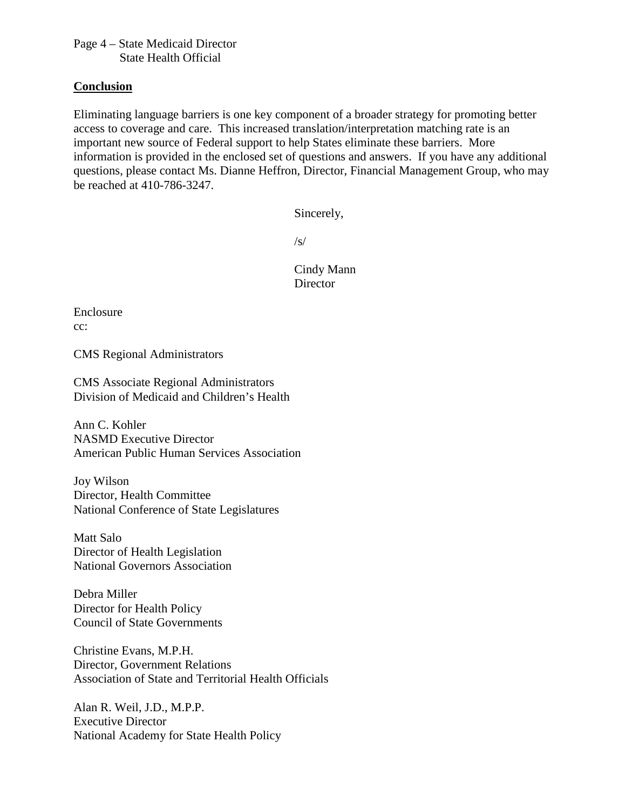Page 4 – State Medicaid Director State Health Official

#### **Conclusion**

Eliminating language barriers is one key component of a broader strategy for promoting better access to coverage and care. This increased translation/interpretation matching rate is an important new source of Federal support to help States eliminate these barriers. More information is provided in the enclosed set of questions and answers. If you have any additional questions, please contact Ms. Dianne Heffron, Director, Financial Management Group, who may be reached at 410-786-3247.

Sincerely,

 $\sqrt{s}$ 

Cindy Mann **Director** 

Enclosure cc:

CMS Regional Administrators

CMS Associate Regional Administrators Division of Medicaid and Children's Health

Ann C. Kohler NASMD Executive Director American Public Human Services Association

Joy Wilson Director, Health Committee National Conference of State Legislatures

Matt Salo Director of Health Legislation National Governors Association

Debra Miller Director for Health Policy Council of State Governments

Christine Evans, M.P.H. Director, Government Relations Association of State and Territorial Health Officials

Alan R. Weil, J.D., M.P.P. Executive Director National Academy for State Health Policy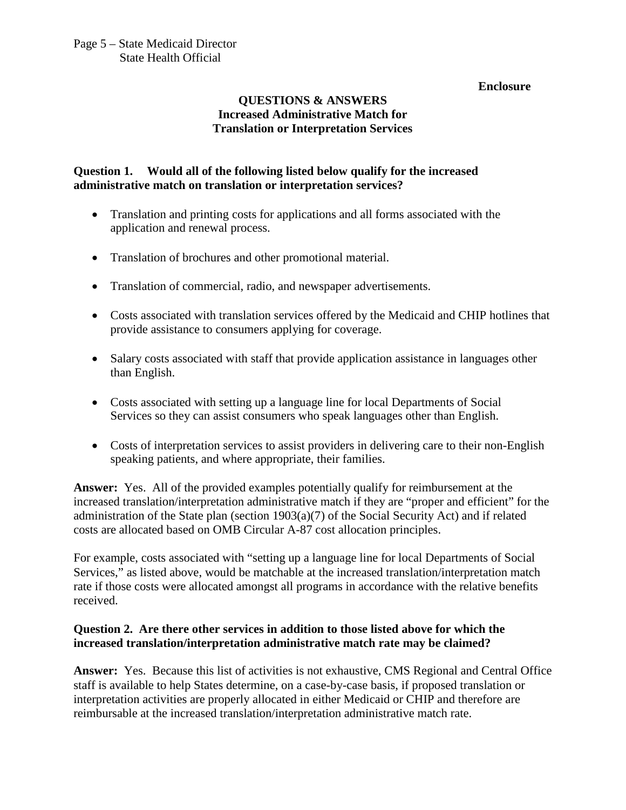# **QUESTIONS & ANSWERS Increased Administrative Match for Translation or Interpretation Services**

# **Question 1. Would all of the following listed below qualify for the increased administrative match on translation or interpretation services?**

- Translation and printing costs for applications and all forms associated with the application and renewal process.
- Translation of brochures and other promotional material.
- Translation of commercial, radio, and newspaper advertisements.
- Costs associated with translation services offered by the Medicaid and CHIP hotlines that provide assistance to consumers applying for coverage.
- Salary costs associated with staff that provide application assistance in languages other than English.
- Costs associated with setting up a language line for local Departments of Social Services so they can assist consumers who speak languages other than English.
- Costs of interpretation services to assist providers in delivering care to their non-English speaking patients, and where appropriate, their families.

**Answer:** Yes. All of the provided examples potentially qualify for reimbursement at the increased translation/interpretation administrative match if they are "proper and efficient" for the administration of the State plan (section 1903(a)(7) of the Social Security Act) and if related costs are allocated based on OMB Circular A-87 cost allocation principles.

For example, costs associated with "setting up a language line for local Departments of Social Services," as listed above, would be matchable at the increased translation/interpretation match rate if those costs were allocated amongst all programs in accordance with the relative benefits received.

### **Question 2. Are there other services in addition to those listed above for which the increased translation/interpretation administrative match rate may be claimed?**

**Answer:** Yes. Because this list of activities is not exhaustive, CMS Regional and Central Office staff is available to help States determine, on a case-by-case basis, if proposed translation or interpretation activities are properly allocated in either Medicaid or CHIP and therefore are reimbursable at the increased translation/interpretation administrative match rate.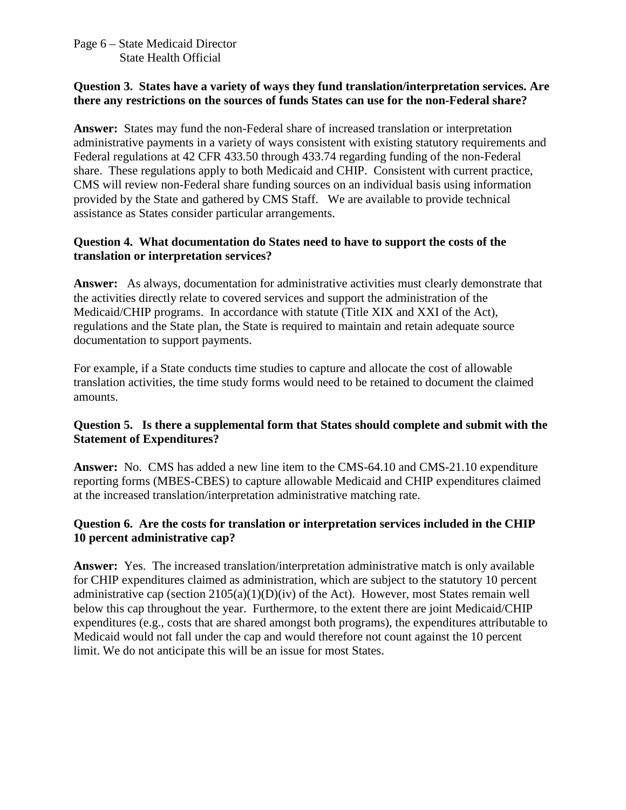#### Page 6 – State Medicaid Director State Health Official

#### **Question 3. States have a variety of ways they fund translation/interpretation services. Are there any restrictions on the sources of funds States can use for the non-Federal share?**

**Answer:** States may fund the non-Federal share of increased translation or interpretation administrative payments in a variety of ways consistent with existing statutory requirements and Federal regulations at 42 CFR 433.50 through 433.74 regarding funding of the non-Federal share. These regulations apply to both Medicaid and CHIP. Consistent with current practice, CMS will review non-Federal share funding sources on an individual basis using information provided by the State and gathered by CMS Staff. We are available to provide technical assistance as States consider particular arrangements.

### **Question 4. What documentation do States need to have to support the costs of the translation or interpretation services?**

**Answer:** As always, documentation for administrative activities must clearly demonstrate that the activities directly relate to covered services and support the administration of the Medicaid/CHIP programs. In accordance with statute (Title XIX and XXI of the Act), regulations and the State plan, the State is required to maintain and retain adequate source documentation to support payments.

For example, if a State conducts time studies to capture and allocate the cost of allowable translation activities, the time study forms would need to be retained to document the claimed amounts.

### **Question 5. Is there a supplemental form that States should complete and submit with the Statement of Expenditures?**

**Answer:** No. CMS has added a new line item to the CMS-64.10 and CMS-21.10 expenditure reporting forms (MBES-CBES) to capture allowable Medicaid and CHIP expenditures claimed at the increased translation/interpretation administrative matching rate.

# **Question 6. Are the costs for translation or interpretation services included in the CHIP 10 percent administrative cap?**

**Answer:** Yes. The increased translation/interpretation administrative match is only available for CHIP expenditures claimed as administration, which are subject to the statutory 10 percent administrative cap (section  $2105(a)(1)(D)(iv)$  of the Act). However, most States remain well below this cap throughout the year. Furthermore, to the extent there are joint Medicaid/CHIP expenditures (e.g., costs that are shared amongst both programs), the expenditures attributable to Medicaid would not fall under the cap and would therefore not count against the 10 percent limit. We do not anticipate this will be an issue for most States.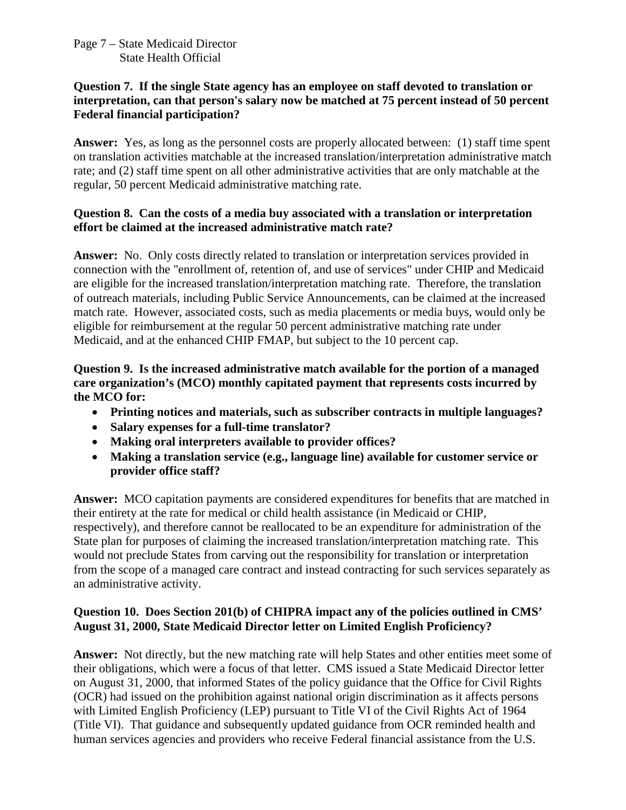#### Page 7 – State Medicaid Director State Health Official

#### **Question 7. If the single State agency has an employee on staff devoted to translation or interpretation, can that person's salary now be matched at 75 percent instead of 50 percent Federal financial participation?**

**Answer:** Yes, as long as the personnel costs are properly allocated between: (1) staff time spent on translation activities matchable at the increased translation/interpretation administrative match rate; and (2) staff time spent on all other administrative activities that are only matchable at the regular, 50 percent Medicaid administrative matching rate.

### **Question 8. Can the costs of a media buy associated with a translation or interpretation effort be claimed at the increased administrative match rate?**

**Answer:** No. Only costs directly related to translation or interpretation services provided in connection with the "enrollment of, retention of, and use of services" under CHIP and Medicaid are eligible for the increased translation/interpretation matching rate. Therefore, the translation of outreach materials, including Public Service Announcements, can be claimed at the increased match rate. However, associated costs, such as media placements or media buys, would only be eligible for reimbursement at the regular 50 percent administrative matching rate under Medicaid, and at the enhanced CHIP FMAP, but subject to the 10 percent cap.

### **Question 9. Is the increased administrative match available for the portion of a managed care organization's (MCO) monthly capitated payment that represents costs incurred by the MCO for:**

- **Printing notices and materials, such as subscriber contracts in multiple languages?**
- **Salary expenses for a full-time translator?**
- **Making oral interpreters available to provider offices?**
- **Making a translation service (e.g., language line) available for customer service or provider office staff?**

**Answer:** MCO capitation payments are considered expenditures for benefits that are matched in their entirety at the rate for medical or child health assistance (in Medicaid or CHIP, respectively), and therefore cannot be reallocated to be an expenditure for administration of the State plan for purposes of claiming the increased translation/interpretation matching rate. This would not preclude States from carving out the responsibility for translation or interpretation from the scope of a managed care contract and instead contracting for such services separately as an administrative activity.

# **Question 10. Does Section 201(b) of CHIPRA impact any of the policies outlined in CMS' August 31, 2000, State Medicaid Director letter on Limited English Proficiency?**

**Answer:** Not directly, but the new matching rate will help States and other entities meet some of their obligations, which were a focus of that letter. CMS issued a State Medicaid Director letter on August 31, 2000, that informed States of the policy guidance that the Office for Civil Rights (OCR) had issued on the prohibition against national origin discrimination as it affects persons with Limited English Proficiency (LEP) pursuant to Title VI of the Civil Rights Act of 1964 (Title VI). That guidance and subsequently updated guidance from OCR reminded health and human services agencies and providers who receive Federal financial assistance from the U.S.